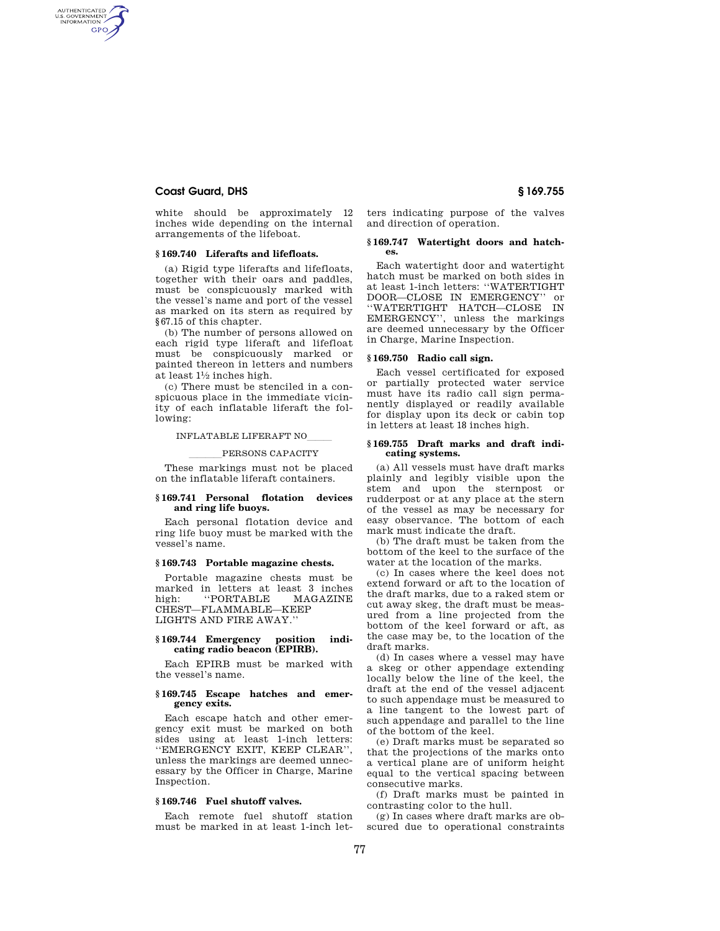# **Coast Guard, DHS § 169.755**

AUTHENTICATED<br>U.S. GOVERNMENT<br>INFORMATION **GPO** 

> white should be approximately 12 inches wide depending on the internal arrangements of the lifeboat.

# **§ 169.740 Liferafts and lifefloats.**

(a) Rigid type liferafts and lifefloats, together with their oars and paddles, must be conspicuously marked with the vessel's name and port of the vessel as marked on its stern as required by §67.15 of this chapter.

(b) The number of persons allowed on each rigid type liferaft and lifefloat must be conspicuously marked or painted thereon in letters and numbers  $at$  least  $1\frac{1}{2}$  inches high.

(c) There must be stenciled in a conspicuous place in the immediate vicinity of each inflatable liferaft the following:

INFLATABLE LIFERAFT NO

# PERSONS CAPACITY

These markings must not be placed on the inflatable liferaft containers.

#### **§ 169.741 Personal flotation devices and ring life buoys.**

Each personal flotation device and ring life buoy must be marked with the vessel's name.

# **§ 169.743 Portable magazine chests.**

Portable magazine chests must be marked in letters at least 3 inches<br>high: "PORTABLE MAGAZINE "PORTABLE CHEST—FLAMMABLE—KEEP LIGHTS AND FIRE AWAY.''

#### **§ 169.744 Emergency position indicating radio beacon (EPIRB).**

Each EPIRB must be marked with the vessel's name.

# **§ 169.745 Escape hatches and emergency exits.**

Each escape hatch and other emergency exit must be marked on both sides using at least 1-inch letters: ''EMERGENCY EXIT, KEEP CLEAR'', unless the markings are deemed unnecessary by the Officer in Charge, Marine Inspection.

# **§ 169.746 Fuel shutoff valves.**

Each remote fuel shutoff station must be marked in at least 1-inch letters indicating purpose of the valves and direction of operation.

### **§ 169.747 Watertight doors and hatches.**

Each watertight door and watertight hatch must be marked on both sides in at least 1-inch letters: ''WATERTIGHT DOOR—CLOSE IN EMERGENCY'' or ''WATERTIGHT HATCH—CLOSE IN EMERGENCY'', unless the markings are deemed unnecessary by the Officer in Charge, Marine Inspection.

#### **§ 169.750 Radio call sign.**

Each vessel certificated for exposed or partially protected water service must have its radio call sign permanently displayed or readily available for display upon its deck or cabin top in letters at least 18 inches high.

## **§ 169.755 Draft marks and draft indicating systems.**

(a) All vessels must have draft marks plainly and legibly visible upon the stem and upon the sternpost or rudderpost or at any place at the stern of the vessel as may be necessary for easy observance. The bottom of each mark must indicate the draft.

(b) The draft must be taken from the bottom of the keel to the surface of the water at the location of the marks.

(c) In cases where the keel does not extend forward or aft to the location of the draft marks, due to a raked stem or cut away skeg, the draft must be measured from a line projected from the bottom of the keel forward or aft, as the case may be, to the location of the draft marks.

(d) In cases where a vessel may have a skeg or other appendage extending locally below the line of the keel, the draft at the end of the vessel adjacent to such appendage must be measured to a line tangent to the lowest part of such appendage and parallel to the line of the bottom of the keel.

(e) Draft marks must be separated so that the projections of the marks onto a vertical plane are of uniform height equal to the vertical spacing between consecutive marks.

(f) Draft marks must be painted in contrasting color to the hull.

(g) In cases where draft marks are obscured due to operational constraints